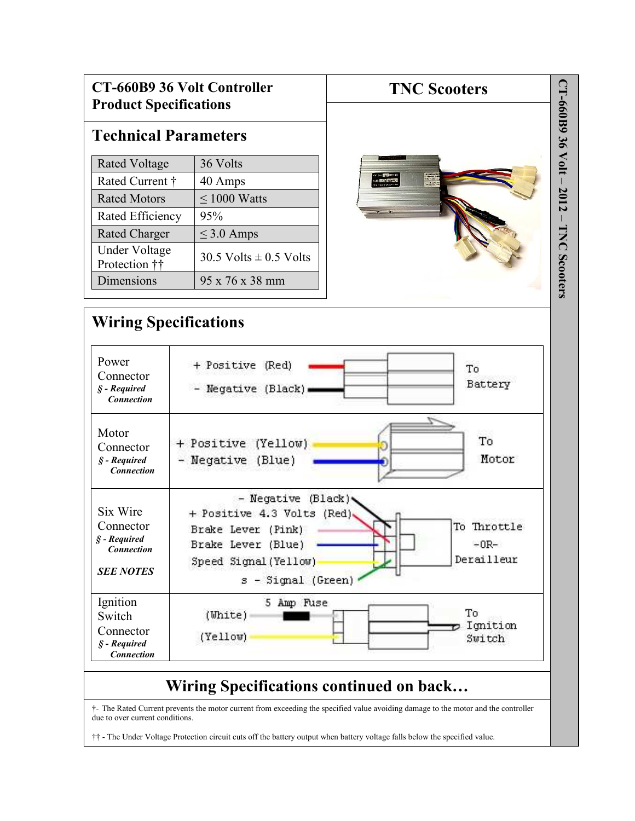| <b>CT-660B9 36 Volt Controller</b><br><b>Product Specifications</b>            |                                                                                                                                                                                        | <b>TNC Scooters</b>                                               |  |
|--------------------------------------------------------------------------------|----------------------------------------------------------------------------------------------------------------------------------------------------------------------------------------|-------------------------------------------------------------------|--|
|                                                                                | <b>Technical Parameters</b>                                                                                                                                                            |                                                                   |  |
| <b>Rated Voltage</b>                                                           | 36 Volts                                                                                                                                                                               |                                                                   |  |
| Rated Current †                                                                | 40 Amps                                                                                                                                                                                | Acceptance<br>Produce De<br>Checkers<br>Lange L<br>$9 - 311/1006$ |  |
| <b>Rated Motors</b>                                                            | $\leq 1000$ Watts                                                                                                                                                                      |                                                                   |  |
| Rated Efficiency                                                               | 95%                                                                                                                                                                                    |                                                                   |  |
| Rated Charger                                                                  | $\leq$ 3.0 Amps                                                                                                                                                                        |                                                                   |  |
| <b>Under Voltage</b><br>Protection ††                                          | 30.5 Volts $\pm$ 0.5 Volts                                                                                                                                                             |                                                                   |  |
| Dimensions                                                                     | 95 x 76 x 38 mm                                                                                                                                                                        |                                                                   |  |
| Power<br>Connector<br>$S$ - Required                                           | + Positive (Red)<br>Negative (Black)                                                                                                                                                   | To<br>Battery                                                     |  |
| Motor<br>Connector<br>$S$ - Required<br><b>Connection</b>                      | + Positive (Yellow)<br>- Negative (Blue)                                                                                                                                               | To<br>Motor                                                       |  |
| Six Wire<br>Connector<br>§ - Required<br><b>Connection</b><br><b>SEE NOTES</b> | - Negative (Black).<br>+ Positive 4.3 Volts<br>(Red)<br>To Throttle<br>Brake Lever (Pink)<br>Brake Lever (Blue)<br>$-0R-$<br>Derailleur<br>Speed Signal (Yellow)<br>s - Signal (Green) |                                                                   |  |
| Ignition<br>Switch<br>Connector<br>$S$ - Required                              | 5 Amp Fuse<br>(Uhite)<br>(Yellow)                                                                                                                                                      | To<br>Ignition<br>Switch                                          |  |